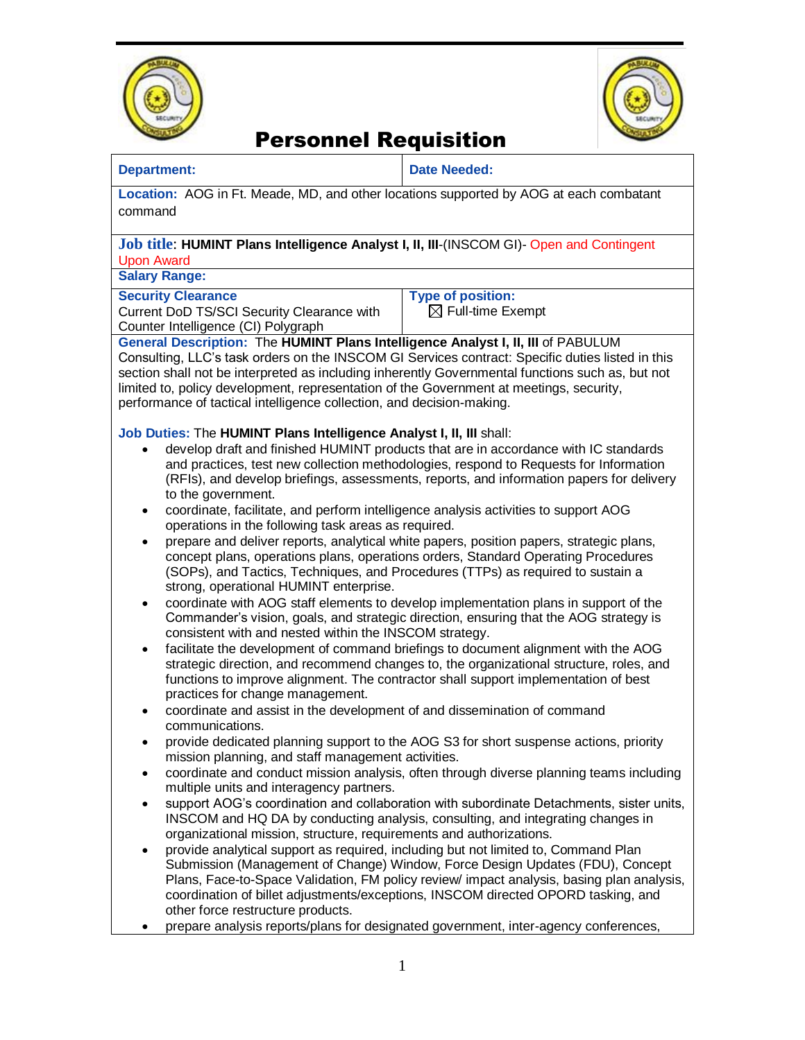



## Personnel Requisition

### **Department: Date Needed:**

**Location:** AOG in Ft. Meade, MD, and other locations supported by AOG at each combatant command

#### **Job title**: **HUMINT Plans Intelligence Analyst I, II, III**-(INSCOM GI)- Open and Contingent Upon Award

**Salary Range:** 

#### **Security Clearance**

Current DoD TS/SCI Security Clearance with Counter Intelligence (CI) Polygraph

**Type of position:** 

 $\boxtimes$  Full-time Exempt

### **General Description:** The **HUMINT Plans Intelligence Analyst I, II, III** of PABULUM

Consulting, LLC's task orders on the INSCOM GI Services contract: Specific duties listed in this section shall not be interpreted as including inherently Governmental functions such as, but not limited to, policy development, representation of the Government at meetings, security, performance of tactical intelligence collection, and decision-making.

### **Job Duties:** The **HUMINT Plans Intelligence Analyst I, II, III** shall:

- develop draft and finished HUMINT products that are in accordance with IC standards and practices, test new collection methodologies, respond to Requests for Information (RFIs), and develop briefings, assessments, reports, and information papers for delivery to the government.
- coordinate, facilitate, and perform intelligence analysis activities to support AOG operations in the following task areas as required.
- prepare and deliver reports, analytical white papers, position papers, strategic plans, concept plans, operations plans, operations orders, Standard Operating Procedures (SOPs), and Tactics, Techniques, and Procedures (TTPs) as required to sustain a strong, operational HUMINT enterprise.
- coordinate with AOG staff elements to develop implementation plans in support of the Commander's vision, goals, and strategic direction, ensuring that the AOG strategy is consistent with and nested within the INSCOM strategy.
- facilitate the development of command briefings to document alignment with the AOG strategic direction, and recommend changes to, the organizational structure, roles, and functions to improve alignment. The contractor shall support implementation of best practices for change management.
- coordinate and assist in the development of and dissemination of command communications.
- provide dedicated planning support to the AOG S3 for short suspense actions, priority mission planning, and staff management activities.
- coordinate and conduct mission analysis, often through diverse planning teams including multiple units and interagency partners.
- support AOG's coordination and collaboration with subordinate Detachments, sister units, INSCOM and HQ DA by conducting analysis, consulting, and integrating changes in organizational mission, structure, requirements and authorizations.
- provide analytical support as required, including but not limited to, Command Plan Submission (Management of Change) Window, Force Design Updates (FDU), Concept Plans, Face-to-Space Validation, FM policy review/ impact analysis, basing plan analysis, coordination of billet adjustments/exceptions, INSCOM directed OPORD tasking, and other force restructure products.
- prepare analysis reports/plans for designated government, inter-agency conferences,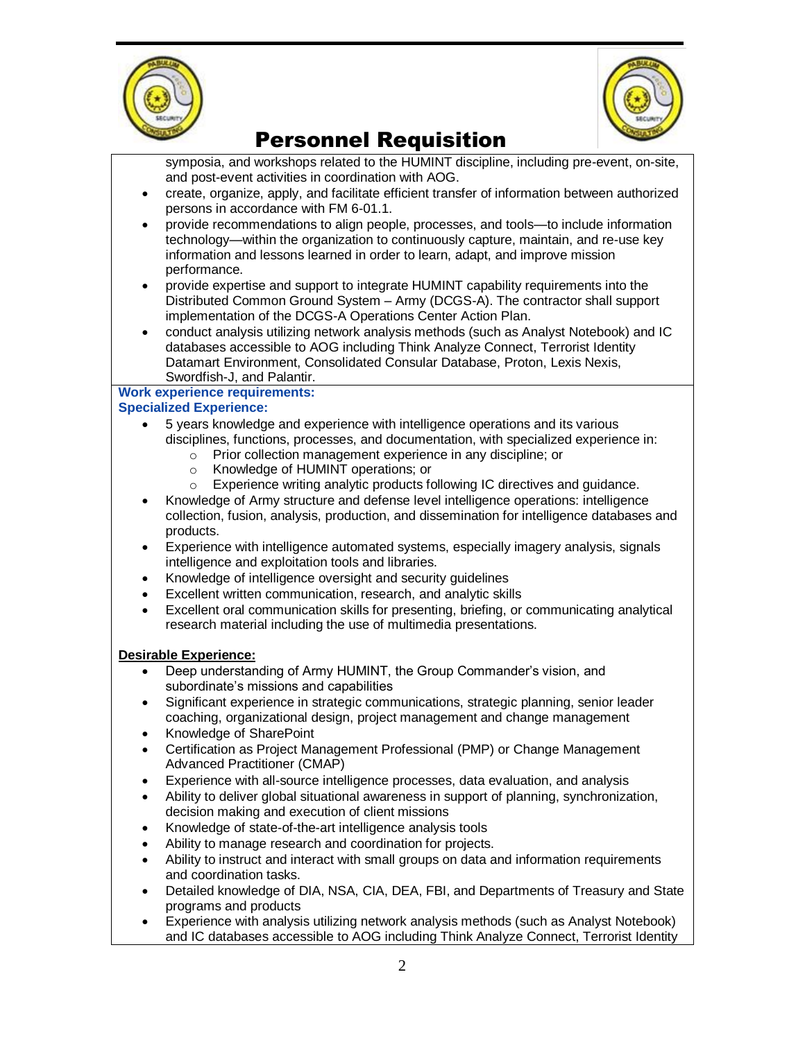



# Personnel Requisition

symposia, and workshops related to the HUMINT discipline, including pre-event, on-site, and post-event activities in coordination with AOG. create, organize, apply, and facilitate efficient transfer of information between authorized persons in accordance with FM 6-01.1. provide recommendations to align people, processes, and tools—to include information technology—within the organization to continuously capture, maintain, and re-use key information and lessons learned in order to learn, adapt, and improve mission performance. provide expertise and support to integrate HUMINT capability requirements into the Distributed Common Ground System – Army (DCGS-A). The contractor shall support implementation of the DCGS-A Operations Center Action Plan. conduct analysis utilizing network analysis methods (such as Analyst Notebook) and IC databases accessible to AOG including Think Analyze Connect, Terrorist Identity Datamart Environment, Consolidated Consular Database, Proton, Lexis Nexis, Swordfish-J, and Palantir. **Work experience requirements:**

### **Specialized Experience:**

- 5 years knowledge and experience with intelligence operations and its various disciplines, functions, processes, and documentation, with specialized experience in:
	- o Prior collection management experience in any discipline; or
	- o Knowledge of HUMINT operations; or
	- o Experience writing analytic products following IC directives and guidance.
- Knowledge of Army structure and defense level intelligence operations: intelligence collection, fusion, analysis, production, and dissemination for intelligence databases and products.
- Experience with intelligence automated systems, especially imagery analysis, signals intelligence and exploitation tools and libraries.
- Knowledge of intelligence oversight and security guidelines
- Excellent written communication, research, and analytic skills
- Excellent oral communication skills for presenting, briefing, or communicating analytical research material including the use of multimedia presentations.

### **Desirable Experience:**

- Deep understanding of Army HUMINT, the Group Commander's vision, and subordinate's missions and capabilities
- Significant experience in strategic communications, strategic planning, senior leader coaching, organizational design, project management and change management
- Knowledge of SharePoint
- Certification as Project Management Professional (PMP) or Change Management Advanced Practitioner (CMAP)
- Experience with all-source intelligence processes, data evaluation, and analysis
- Ability to deliver global situational awareness in support of planning, synchronization. decision making and execution of client missions
- Knowledge of state-of-the-art intelligence analysis tools
- Ability to manage research and coordination for projects.
- Ability to instruct and interact with small groups on data and information requirements and coordination tasks.
- Detailed knowledge of DIA, NSA, CIA, DEA, FBI, and Departments of Treasury and State programs and products
- Experience with analysis utilizing network analysis methods (such as Analyst Notebook) and IC databases accessible to AOG including Think Analyze Connect, Terrorist Identity